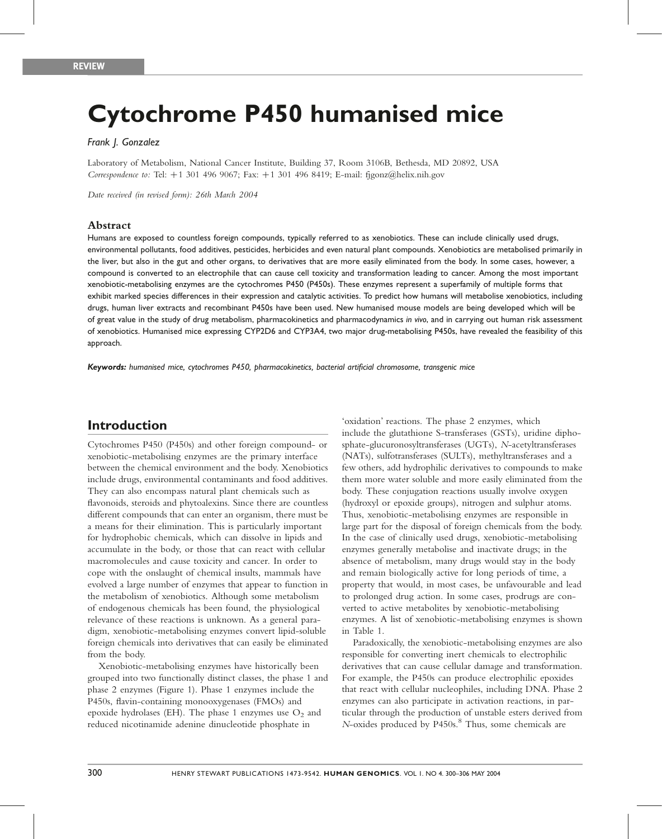# Cytochrome P450 humanised mice

#### Frank J. Gonzalez

Laboratory of Metabolism, National Cancer Institute, Building 37, Room 3106B, Bethesda, MD 20892, USA Correspondence to: Tel:  $+1$  301 496 9067; Fax:  $+1$  301 496 8419; E-mail: figonz@helix.nih.gov

Date received (in revised form): 26th March 2004

#### Abstract

Humans are exposed to countless foreign compounds, typically referred to as xenobiotics. These can include clinically used drugs, environmental pollutants, food additives, pesticides, herbicides and even natural plant compounds. Xenobiotics are metabolised primarily in the liver, but also in the gut and other organs, to derivatives that are more easily eliminated from the body. In some cases, however, a compound is converted to an electrophile that can cause cell toxicity and transformation leading to cancer. Among the most important xenobiotic-metabolising enzymes are the cytochromes P450 (P450s). These enzymes represent a superfamily of multiple forms that exhibit marked species differences in their expression and catalytic activities. To predict how humans will metabolise xenobiotics, including drugs, human liver extracts and recombinant P450s have been used. New humanised mouse models are being developed which will be of great value in the study of drug metabolism, pharmacokinetics and pharmacodynamics in vivo, and in carrying out human risk assessment of xenobiotics. Humanised mice expressing CYP2D6 and CYP3A4, two major drug-metabolising P450s, have revealed the feasibility of this approach.

Keywords: humanised mice, cytochromes P450, pharmacokinetics, bacterial artificial chromosome, transgenic mice

## Introduction

Cytochromes P450 (P450s) and other foreign compound- or xenobiotic-metabolising enzymes are the primary interface between the chemical environment and the body. Xenobiotics include drugs, environmental contaminants and food additives. They can also encompass natural plant chemicals such as flavonoids, steroids and phytoalexins. Since there are countless different compounds that can enter an organism, there must be a means for their elimination. This is particularly important for hydrophobic chemicals, which can dissolve in lipids and accumulate in the body, or those that can react with cellular macromolecules and cause toxicity and cancer. In order to cope with the onslaught of chemical insults, mammals have evolved a large number of enzymes that appear to function in the metabolism of xenobiotics. Although some metabolism of endogenous chemicals has been found, the physiological relevance of these reactions is unknown. As a general paradigm, xenobiotic-metabolising enzymes convert lipid-soluble foreign chemicals into derivatives that can easily be eliminated from the body.

Xenobiotic-metabolising enzymes have historically been grouped into two functionally distinct classes, the phase 1 and phase 2 enzymes (Figure 1). Phase 1 enzymes include the P450s, flavin-containing monooxygenases (FMOs) and epoxide hydrolases (EH). The phase 1 enzymes use  $O_2$  and reduced nicotinamide adenine dinucleotide phosphate in

'oxidation' reactions. The phase 2 enzymes, which include the glutathione S-transferases (GSTs), uridine diphosphate-glucuronosyltransferases (UGTs), N-acetyltransferases (NATs), sulfotransferases (SULTs), methyltransferases and a few others, add hydrophilic derivatives to compounds to make them more water soluble and more easily eliminated from the body. These conjugation reactions usually involve oxygen (hydroxyl or epoxide groups), nitrogen and sulphur atoms. Thus, xenobiotic-metabolising enzymes are responsible in large part for the disposal of foreign chemicals from the body. In the case of clinically used drugs, xenobiotic-metabolising enzymes generally metabolise and inactivate drugs; in the absence of metabolism, many drugs would stay in the body and remain biologically active for long periods of time, a property that would, in most cases, be unfavourable and lead to prolonged drug action. In some cases, prodrugs are converted to active metabolites by xenobiotic-metabolising enzymes. A list of xenobiotic-metabolising enzymes is shown in Table 1.

Paradoxically, the xenobiotic-metabolising enzymes are also responsible for converting inert chemicals to electrophilic derivatives that can cause cellular damage and transformation. For example, the P450s can produce electrophilic epoxides that react with cellular nucleophiles, including DNA. Phase 2 enzymes can also participate in activation reactions, in particular through the production of unstable esters derived from  $N$ -oxides produced by P450s. $8$  Thus, some chemicals are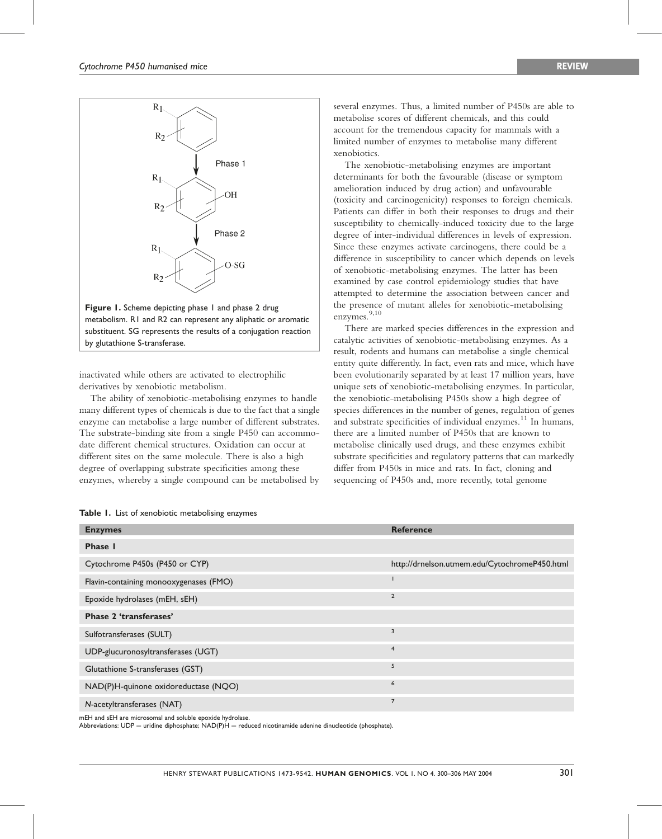

Figure 1. Scheme depicting phase 1 and phase 2 drug metabolism. R1 and R2 can represent any aliphatic or aromatic substituent. SG represents the results of a conjugation reaction by glutathione S-transferase.

inactivated while others are activated to electrophilic derivatives by xenobiotic metabolism.

The ability of xenobiotic-metabolising enzymes to handle many different types of chemicals is due to the fact that a single enzyme can metabolise a large number of different substrates. The substrate-binding site from a single P450 can accommodate different chemical structures. Oxidation can occur at different sites on the same molecule. There is also a high degree of overlapping substrate specificities among these enzymes, whereby a single compound can be metabolised by

| Table 1. List of xenobiotic metabolising enzymes |  |  |
|--------------------------------------------------|--|--|
|--------------------------------------------------|--|--|

several enzymes. Thus, a limited number of P450s are able to metabolise scores of different chemicals, and this could account for the tremendous capacity for mammals with a limited number of enzymes to metabolise many different xenobiotics.

The xenobiotic-metabolising enzymes are important determinants for both the favourable (disease or symptom amelioration induced by drug action) and unfavourable (toxicity and carcinogenicity) responses to foreign chemicals. Patients can differ in both their responses to drugs and their susceptibility to chemically-induced toxicity due to the large degree of inter-individual differences in levels of expression. Since these enzymes activate carcinogens, there could be a difference in susceptibility to cancer which depends on levels of xenobiotic-metabolising enzymes. The latter has been examined by case control epidemiology studies that have attempted to determine the association between cancer and the presence of mutant alleles for xenobiotic-metabolising enzymes. 9,10

There are marked species differences in the expression and catalytic activities of xenobiotic-metabolising enzymes. As a result, rodents and humans can metabolise a single chemical entity quite differently. In fact, even rats and mice, which have been evolutionarily separated by at least 17 million years, have unique sets of xenobiotic-metabolising enzymes. In particular, the xenobiotic-metabolising P450s show a high degree of species differences in the number of genes, regulation of genes and substrate specificities of individual enzymes. <sup>11</sup> In humans, there are a limited number of P450s that are known to metabolise clinically used drugs, and these enzymes exhibit substrate specificities and regulatory patterns that can markedly differ from P450s in mice and rats. In fact, cloning and sequencing of P450s and, more recently, total genome

| <b>Enzymes</b>                         | <b>Reference</b>                              |
|----------------------------------------|-----------------------------------------------|
| Phase I                                |                                               |
| Cytochrome P450s (P450 or CYP)         | http://drnelson.utmem.edu/CytochromeP450.html |
| Flavin-containing monooxygenases (FMO) |                                               |
| Epoxide hydrolases (mEH, sEH)          | $\overline{2}$                                |
| <b>Phase 2 'transferases'</b>          |                                               |
| Sulfotransferases (SULT)               | $\overline{\mathbf{3}}$                       |
| UDP-glucuronosyltransferases (UGT)     | $\overline{4}$                                |
| Glutathione S-transferases (GST)       | 5                                             |
| NAD(P)H-quinone oxidoreductase (NQO)   | 6                                             |
| N-acetyltransferases (NAT)             | $\overline{7}$                                |

mEH and sEH are microsomal and soluble epoxide hydrolase.

Abbreviations: UDP = uridine diphosphate;  $NAD(P)H$  = reduced nicotinamide adenine dinucleotide (phosphate).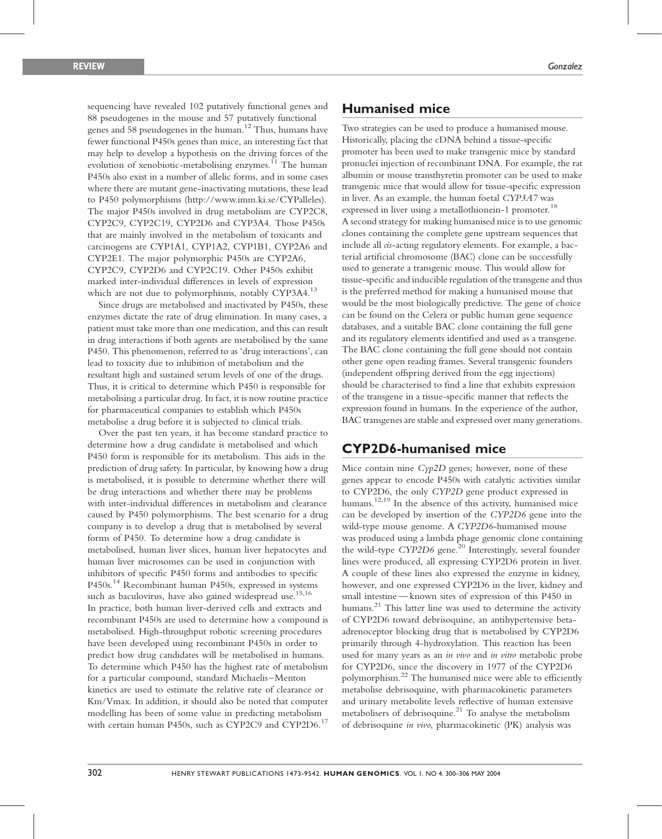sequencing have revealed 102 putatively functional genes and 88 pseudogenes in the mouse and 57 putatively functional genes and 58 pseudogenes in the human. <sup>12</sup> Thus, humans have fewer functional P450s genes than mice, an interesting fact that may help to develop a hypothesis on the driving forces of the evolution of xenobiotic-metabolising enzymes.<sup>11</sup> The human P450s also exist in a number of allelic forms, and in some cases where there are mutant gene-inactivating mutations, these lead to P450 polymorphisms (http://www.imm.ki.se/CYPalleles). The major P450s involved in drug metabolism are CYP2C8, CYP2C9, CYP2C19, CYP2D6 and CYP3A4. Those P450s that are mainly involved in the metabolism of toxicants and carcinogens are CYP1A1, CYP1A2, CYP1B1, CYP2A6 and CYP2E1. The major polymorphic P450s are CYP2A6, CYP2C9, CYP2D6 and CYP2C19. Other P450s exhibit marked inter-individual differences in levels of expression which are not due to polymorphisms, notably CYP3A4.<sup>13</sup>

Since drugs are metabolised and inactivated by P450s, these enzymes dictate the rate of drug elimination. In many cases, a patient must take more than one medication, and this can result in drug interactions if both agents are metabolised by the same P450. This phenomenon, referred to as 'drug interactions', can lead to toxicity due to inhibition of metabolism and the resultant high and sustained serum levels of one of the drugs. Thus, it is critical to determine which P450 is responsible for metabolising a particular drug. In fact, it is now routine practice for pharmaceutical companies to establish which P450s metabolise a drug before it is subjected to clinical trials.

Over the past ten years, it has become standard practice to determine how a drug candidate is metabolised and which P450 form is responsible for its metabolism. This aids in the prediction of drug safety. In particular, by knowing how a drug is metabolised, it is possible to determine whether there will be drug interactions and whether there may be problems with inter-individual differences in metabolism and clearance caused by P450 polymorphisms. The best scenario for a drug company is to develop a drug that is metabolised by several forms of P450. To determine how a drug candidate is metabolised, human liver slices, human liver hepatocytes and human liver microsomes can be used in conjunction with inhibitors of specific P450 forms and antibodies to specific P450s. <sup>1</sup><sup>4</sup> Recombinant human P450s, expressed in systems such as baculovirus, have also gained widespread use. 15,16 In practice, both human liver-derived cells and extracts and recombinant P450s are used to determine how a compound is metabolised. High-throughput robotic screening procedures have been developed using recombinant P450s in order to predict how drug candidates will be metabolised in humans. To determine which P450 has the highest rate of metabolism for a particular compound, standard Michaelis–Menton kinetics are used to estimate the relative rate of clearance or Km/Vmax. In addition, it should also be noted that computer modelling has been of some value in predicting metabolism with certain human P450s, such as CYP2C9 and CYP2D6.<sup>17</sup>

## Humanised mice

Two strategies can be used to produce a humanised mouse. Historically, placing the cDNA behind a tissue-specific promoter has been used to make transgenic mice by standard pronuclei injection of recombinant DNA. For example, the rat albumin or mouse transthyretin promoter can be used to make transgenic mice that would allow for tissue-specific expression in liver. As an example, the human foetal CYP3A7 was expressed in liver using a metallothionein-1 promoter.<sup>18</sup> A second strategy for making humanised mice is to use genomic clones containing the complete gene upstream sequences that include all *cis*-acting regulatory elements. For example, a bacterial artificial chromosome (BAC) clone can be successfully used to generate a transgenic mouse. This would allow for tissue-specific and inducible regulation of the transgene and thus is the preferred method for making a humanised mouse that would be the most biologically predictive. The gene of choice can be found on the Celera or public human gene sequence databases, and a suitable BAC clone containing the full gene and its regulatory elements identified and used as a transgene. The BAC clone containing the full gene should not contain other gene open reading frames. Several transgenic founders (independent offspring derived from the egg injections) should be characterised to find a line that exhibits expression of the transgene in a tissue-specific manner that reflects the expression found in humans. In the experience of the author, BAC transgenes are stable and expressed over many generations.

## CYP2D6-humanised mice

Mice contain nine  $Cyp2D$  genes; however, none of these genes appear to encode P450s with catalytic activities similar to CYP2D6, the only CYP2D gene product expressed in humans. <sup>12</sup>,<sup>19</sup> In the absence of this activity, humanised mice can be developed by insertion of the CYP2D6 gene into the wild-type mouse genome. A CYP2D6-humanised mouse was produced using a lambda phage genomic clone containing the wild-type CYP2D6 gene.<sup>20</sup> Interestingly, several founder lines were produced, all expressing CYP2D6 protein in liver. A couple of these lines also expressed the enzyme in kidney, however, and one expressed CYP2D6 in the liver, kidney and small intestine —known sites of expression of this P450 in humans. <sup>21</sup> This latter line was used to determine the activity of CYP2D6 toward debrisoquine, an antihypertensive betaadrenoceptor blocking drug that is metabolised by CYP2D6 primarily through 4-hydroxylation. This reaction has been used for many years as an in vivo and in vitro metabolic probe for CYP2D6, since the discovery in 1977 of the CYP2D6 polymorphism. <sup>22</sup> The humanised mice were able to efficiently metabolise debrisoquine, with pharmacokinetic parameters and urinary metabolite levels reflective of human extensive metabolisers of debrisoquine. <sup>21</sup> To analyse the metabolism of debrisoquine in vivo, pharmacokinetic (PK) analysis was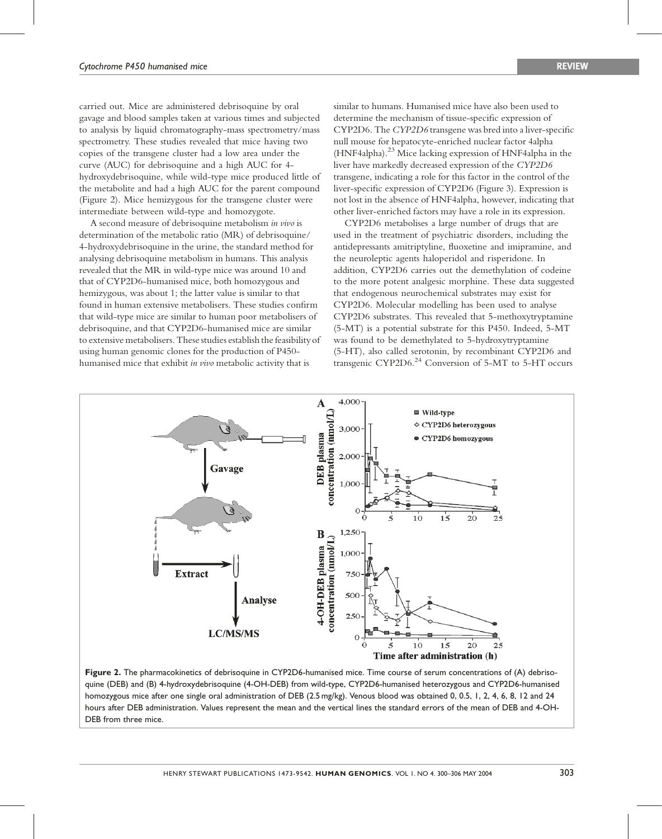carried out. Mice are administered debrisoquine by oral gavage and blood samples taken at various times and subjected to analysis by liquid chromatography-mass spectrometry/mass spectrometry. These studies revealed that mice having two copies of the transgene cluster had a low area under the curve (AUC) for debrisoquine and a high AUC for 4 hydroxydebrisoquine, while wild-type mice produced little of the metabolite and had a high AUC for the parent compound (Figure 2). Mice hemizygous for the transgene cluster were intermediate between wild-type and homozygote.

A second measure of debrisoquine metabolism in vivo is determination of the metabolic ratio (MR) of debrisoquine/ 4-hydroxydebrisoquine in the urine, the standard method for analysing debrisoquine metabolism in humans. This analysis revealed that the MR in wild-type mice was around 10 and that of CYP2D6-humanised mice, both homozygous and hemizygous, was about 1; the latter value is similar to that found in human extensive metabolisers. These studies confirm that wild-type mice are similar to human poor metabolisers of debrisoquine, and that CYP2D6-humanised mice are similar to extensive metabolisers.These studies establish the feasibilityof using human genomic clones for the production of P450 humanised mice that exhibit in vivo metabolic activity that is

similar to humans. Humanised mice have also been used to determine the mechanism of tissue-specific expression of CYP2D6. The CYP2D6 transgene was bred into aliver-specific null mouse for hepatocyte-enriched nuclear factor 4alpha (HNF4alpha).<sup>23</sup> Mice lacking expression of HNF4alpha in the liver have markedly decreased expression of the CYP2D6 transgene, indicating a role for this factor in the control of the liver-specific expression of CYP2D6 (Figure 3). Expression is not lost in the absence of HNF4alpha, however, indicating that other liver-enriched factors may have a role in its expression.

CYP2D6 metabolises a large number of drugs that are used in the treatment of psychiatric disorders, including the antidepressants amitriptyline, fluoxetine and imipramine, and the neuroleptic agents haloperidol and risperidone. In addition, CYP2D6 carries out the demethylation of codeine to the more potent analgesic morphine. These data suggested that endogenous neurochemical substrates may exist for CYP2D6. Molecular modelling has been used to analyse CYP2D6 substrates. This revealed that 5-methoxytryptamine (5-MT) is a potential substrate for this P450. Indeed, 5-MT was found to be demethylated to 5-hydroxytryptamine (5-HT), also called serotonin, by recombinant CYP2D6 and transgenic CYP2D6.<sup>24</sup> Conversion of 5-MT to 5-HT occurs



Figure 2. The pharmacokinetics of debrisoquine in CYP2D6-humanised mice. Time course of serum concentrations of (A) debrisoquine (DEB) and (B) 4-hydroxydebrisoquine (4-OH-DEB) from wild-type, CYP2D6-humanised heterozygous and CYP2D6-humanised homozygous mice after one single oral administration of DEB (2.5 mg/kg). Venous blood was obtained 0, 0.5, 1, 2, 4, 6, 8, 12 and 24 hours after DEB administration. Values represent the mean and the vertical lines the standard errors of the mean of DEB and 4-OH-DEB from three mice.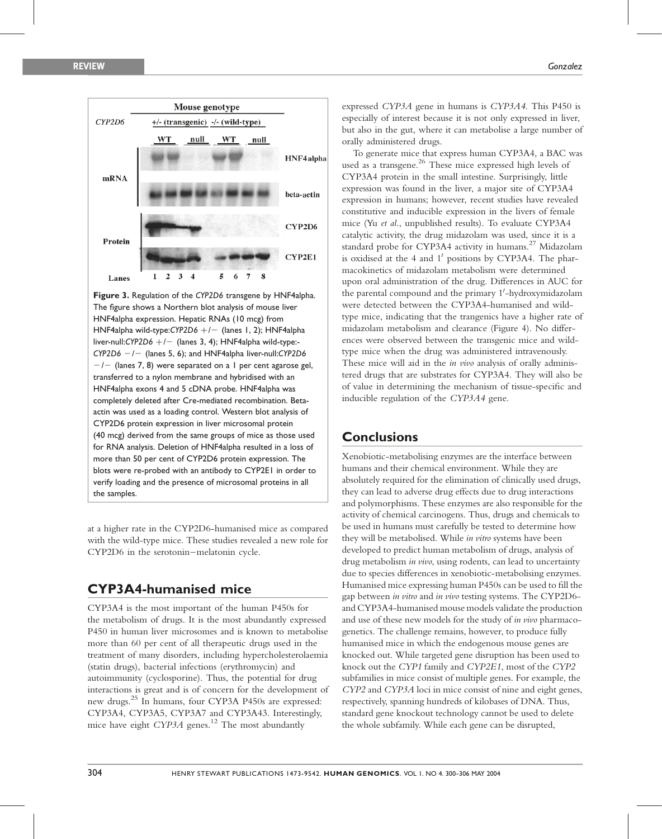

Figure 3. Regulation of the CYP2D6 transgene by HNF4alpha. The figure shows a Northern blot analysis of mouse liver HNF4alpha expression. Hepatic RNAs (10 mcg) from HNF4alpha wild-type:CYP2D6  $+/-$  (lanes 1, 2); HNF4alpha liver-null:CYP2D6  $+/-$  (lanes 3, 4); HNF4alpha wild-type:- $CYP2D6$   $-/-$  (lanes 5, 6); and HNF4alpha liver-null:CYP2D6  $-/-$  (lanes 7, 8) were separated on a 1 per cent agarose gel, transferred to a nylon membrane and hybridised with an HNF4alpha exons 4 and 5 cDNA probe. HNF4alpha was completely deleted after Cre-mediated recombination. Betaactin was used as a loading control. Western blot analysis of CYP2D6 protein expression in liver microsomal protein (40 mcg) derived from the same groups of mice as those used for RNA analysis. Deletion of HNF4alpha resulted in a loss of more than 50 per cent of CYP2D6 protein expression. The blots were re-probed with an antibody to CYP2E1 in order to verify loading and the presence of microsomal proteins in all the samples.

at a higher rate in the CYP2D6-humanised mice as compared with the wild-type mice. These studies revealed a new role for CYP2D6 in the serotonin–melatonin cycle.

# CYP3A4-humanised mice

CYP3A4 is the most important of the human P450s for the metabolism of drugs. It is the most abundantly expressed P450 in human liver microsomes and is known to metabolise more than 60 per cent of all therapeutic drugs used in the treatment of many disorders, including hypercholesterolaemia (statin drugs), bacterial infections (erythromycin) and autoimmunity (cyclosporine). Thus, the potential for drug interactions is great and is of concern for the development of new drugs. 25 In humans, four CYP3A P450s are expressed: CYP3A4, CYP3A5, CYP3A7 and CYP3A43. Interestingly, mice have eight CYP3A genes.<sup>12</sup> The most abundantly

expressed CYP3A gene in humans is CYP3A4. This P450 is especially of interest because it is not only expressed in liver, but also in the gut, where it can metabolise a large number of orally administered drugs.

To generate mice that express human CYP3A4, a BAC was used as a transgene. <sup>26</sup> These mice expressed high levels of CYP3A4 protein in the small intestine. Surprisingly, little expression was found in the liver, a major site of CYP3A4 expression in humans; however, recent studies have revealed constitutive and inducible expression in the livers of female mice (Yu et al., unpublished results). To evaluate CYP3A4 catalytic activity, the drug midazolam was used, since it is a standard probe for CYP3A4 activity in humans. <sup>27</sup> Midazolam is oxidised at the 4 and 1' positions by CYP3A4. The pharmacokinetics of midazolam metabolism were determined upon oral administration of the drug. Differences in AUC for the parental compound and the primary 1'-hydroxymidazolam were detected between the CYP3A4-humanised and wildtype mice, indicating that the trangenics have a higher rate of midazolam metabolism and clearance (Figure 4). No differences were observed between the transgenic mice and wildtype mice when the drug was administered intravenously. These mice will aid in the in vivo analysis of orally administered drugs that are substrates for CYP3A4. They will also be of value in determining the mechanism of tissue-specific and inducible regulation of the CYP3A4 gene.

# **Conclusions**

Xenobiotic-metabolising enzymes are the interface between humans and their chemical environment. While they are absolutely required for the elimination of clinically used drugs, they can lead to adverse drug effects due to drug interactions and polymorphisms. These enzymes are also responsible for the activity of chemical carcinogens. Thus, drugs and chemicals to be used in humans must carefully be tested to determine how they will be metabolised. While in vitro systems have been developed to predict human metabolism of drugs, analysis of drug metabolism in vivo, using rodents, can lead to uncertainty due to species differences in xenobiotic-metabolising enzymes. Humanised mice expressing human P450s can be used to fill the gap between in vitro and in vivo testing systems. The CYP2D6 and CYP3A4-humanised mouse models validate the production and use of these new models for the study of in vivo pharmacogenetics. The challenge remains, however, to produce fully humanised mice in which the endogenous mouse genes are knocked out. While targeted gene disruption has been used to knock out the CYP1 family and CYP2E1, most of the CYP2 subfamilies in mice consist of multiple genes. For example, the CYP2 and CYP3A loci in mice consist of nine and eight genes, respectively, spanning hundreds of kilobases of DNA. Thus, standard gene knockout technology cannot be used to delete the whole subfamily. While each gene can be disrupted,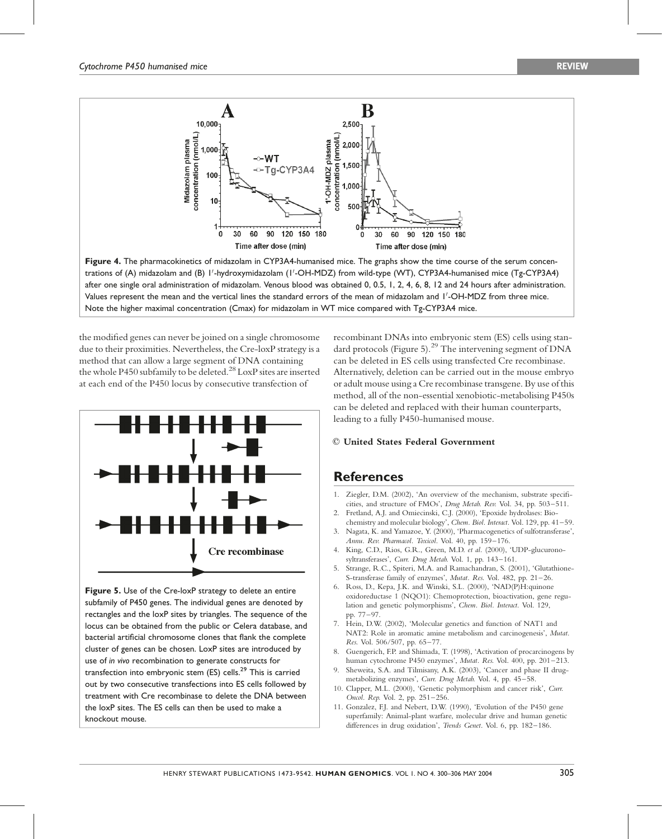

Figure 4. The pharmacokinetics of midazolam in CYP3A4-humanised mice. The graphs show the time course of the serum concentrations of (A) midazolam and (B) I'-hydroxymidazolam (I'-OH-MDZ) from wild-type (WT), CYP3A4-humanised mice (Tg-CYP3A4) after one single oral administration of midazolam. Venous blood was obtained 0, 0.5, 1, 2, 4, 6, 8, 12 and 24 hours after administration. Values represent the mean and the vertical lines the standard errors of the mean of midazolam and 1 0 -OH-MDZ from three mice. Note the higher maximal concentration (Cmax) for midazolam in WT mice compared with Tg-CYP3A4 mice.

the modified genes can never be joined on a single chromosome due to their proximities. Nevertheless, the Cre-loxP strategy is a method that can allow a large segment of DNA containing the whole P450 subfamily to be deleted.<sup>28</sup> LoxP sites are inserted at each end of the P450 locus by consecutive transfection of



Figure 5. Use of the Cre-loxP strategy to delete an entire subfamily of P450 genes. The individual genes are denoted by rectangles and the loxP sites by triangles. The sequence of the locus can be obtained from the public or Celera database, and bacterial artificial chromosome clones that flank the complete cluster of genes can be chosen. LoxP sites are introduced by use of in vivo recombination to generate constructs for transfection into embryonic stem (ES) cells.<sup>29</sup> This is carried out by two consecutive transfections into ES cells followed by treatment with Cre recombinase to delete the DNA between the loxP sites. The ES cells can then be used to make a knockout mouse.

recombinant DNAs into embryonic stem (ES) cells using standard protocols (Figure 5).<sup>29</sup> The intervening segment of DNA can be deleted in ES cells using transfected Cre recombinase. Alternatively, deletion can be carried out in the mouse embryo oradult mouse usingaCre recombinase transgene. By use of this method, all of the non-essential xenobiotic-metabolising P450s can be deleted and replaced with their human counterparts, leading to a fully P450-humanised mouse.

#### $©$  United States Federal Government

### **References**

- 1. Ziegler, D.M. (2002), 'An overview of the mechanism, substrate specificities, and structure of FMOs', Drug Metab. Rev. Vol. 34, pp. 503–511.
- 2. Fretland, A.J. and Omiecinski, C.J. (2000), 'Epoxide hydrolases: Biochemistry and molecular biology', Chem. Biol. Interact. Vol. 129, pp. 41–59.
- 3. Nagata, K. and Yamazoe, Y. (2000), 'Pharmacogenetics of sulfotransferase', Annu. Rev. Pharmacol. Toxicol. Vol. 40, pp. 159–176.
- 4. King, C.D., Rios, G.R., Green, M.D. et al. (2000), 'UDP-glucuronosyltransferases', Curr. Drug Metab. Vol. 1, pp. 143–161.
- 5. Strange, R.C., Spiteri, M.A. and Ramachandran, S. (2001), 'Glutathione-S-transferase family of enzymes', Mutat. Res. Vol. 482, pp. 21–26.
- 6. Ross, D., Kepa, J.K. and Winski, S.L. (2000), 'NAD(P)H:quinone oxidoreductase 1 (NQO1): Chemoprotection, bioactivation, gene regulation and genetic polymorphisms', Chem. Biol. Interact. Vol. 129, pp. 77–97.
- 7. Hein, D.W. (2002), 'Molecular genetics and function of NAT1 and NAT2: Role in aromatic amine metabolism and carcinogenesis', Mutat. Res. Vol. 506/507, pp. 65–77.
- 8. Guengerich, F.P. and Shimada, T. (1998), 'Activation of procarcinogens by human cytochrome P450 enzymes', Mutat. Res. Vol. 400, pp. 201–213.
- 9. Sheweita, S.A. and Tilmisany, A.K. (2003), 'Cancer and phase II drugmetabolizing enzymes', Curr. Drug Metab. Vol. 4, pp. 45–58.
- 10. Clapper, M.L. (2000), 'Genetic polymorphism and cancer risk', Curr. Oncol. Rep. Vol. 2, pp. 251–256.
- 11. Gonzalez, F.J. and Nebert, D.W. (1990), 'Evolution of the P450 gene superfamily: Animal-plant warfare, molecular drive and human genetic differences in drug oxidation', Trends Genet. Vol. 6, pp. 182–186.